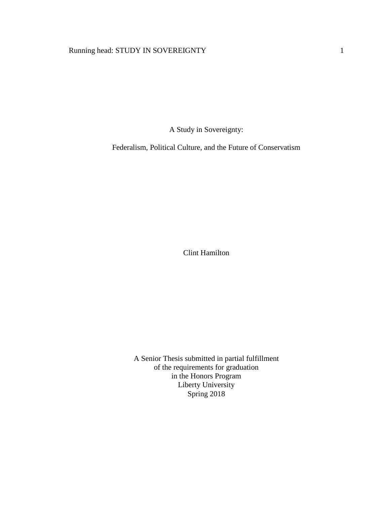# Running head: STUDY IN SOVEREIGNTY 1

A Study in Sovereignty:

Federalism, Political Culture, and the Future of Conservatism

Clint Hamilton

A Senior Thesis submitted in partial fulfillment of the requirements for graduation in the Honors Program Liberty University Spring 2018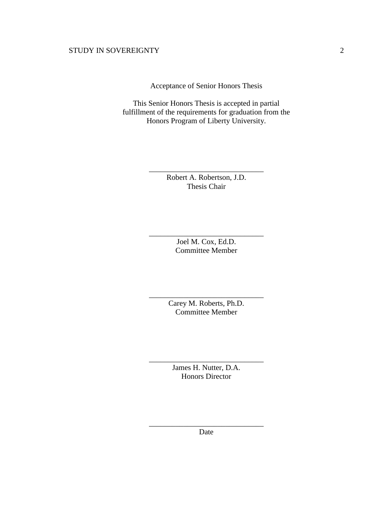Acceptance of Senior Honors Thesis

This Senior Honors Thesis is accepted in partial fulfillment of the requirements for graduation from the Honors Program of Liberty University.

> Robert A. Robertson, J.D. Thesis Chair

\_\_\_\_\_\_\_\_\_\_\_\_\_\_\_\_\_\_\_\_\_\_\_\_\_\_\_\_\_\_

Joel M. Cox, Ed.D. Committee Member

\_\_\_\_\_\_\_\_\_\_\_\_\_\_\_\_\_\_\_\_\_\_\_\_\_\_\_\_\_\_

Carey M. Roberts, Ph.D. Committee Member

\_\_\_\_\_\_\_\_\_\_\_\_\_\_\_\_\_\_\_\_\_\_\_\_\_\_\_\_\_\_

James H. Nutter, D.A. Honors Director

\_\_\_\_\_\_\_\_\_\_\_\_\_\_\_\_\_\_\_\_\_\_\_\_\_\_\_\_\_\_

\_\_\_\_\_\_\_\_\_\_\_\_\_\_\_\_\_\_\_\_\_\_\_\_\_\_\_\_\_\_ Date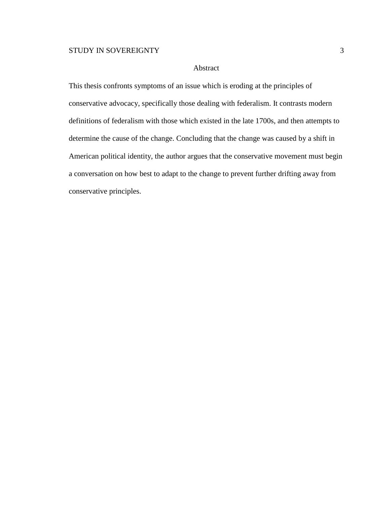# Abstract

This thesis confronts symptoms of an issue which is eroding at the principles of conservative advocacy, specifically those dealing with federalism. It contrasts modern definitions of federalism with those which existed in the late 1700s, and then attempts to determine the cause of the change. Concluding that the change was caused by a shift in American political identity, the author argues that the conservative movement must begin a conversation on how best to adapt to the change to prevent further drifting away from conservative principles.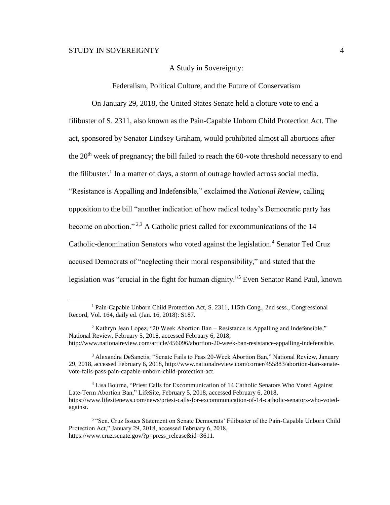$\overline{a}$ 

### A Study in Sovereignty:

Federalism, Political Culture, and the Future of Conservatism

On January 29, 2018, the United States Senate held a cloture vote to end a filibuster of S. 2311, also known as the Pain-Capable Unborn Child Protection Act. The act, sponsored by Senator Lindsey Graham, would prohibited almost all abortions after the  $20<sup>th</sup>$  week of pregnancy; the bill failed to reach the 60-vote threshold necessary to end the filibuster.<sup>1</sup> In a matter of days, a storm of outrage howled across social media. "Resistance is Appalling and Indefensible," exclaimed the *National Review*, calling opposition to the bill "another indication of how radical today's Democratic party has become on abortion." <sup>2,3</sup> A Catholic priest called for excommunications of the 14 Catholic-denomination Senators who voted against the legislation.<sup>4</sup> Senator Ted Cruz accused Democrats of "neglecting their moral responsibility," and stated that the legislation was "crucial in the fight for human dignity."<sup>5</sup> Even Senator Rand Paul, known

<sup>&</sup>lt;sup>1</sup> Pain-Capable Unborn Child Protection Act, S. 2311, 115th Cong., 2nd sess., Congressional Record, Vol. 164, daily ed. (Jan. 16, 2018): S187.

 $2$  Kathryn Jean Lopez, "20 Week Abortion Ban – Resistance is Appalling and Indefensible," National Review, February 5, 2018, accessed February 6, 2018, http://www.nationalreview.com/article/456096/abortion-20-week-ban-resistance-appalling-indefensible.

<sup>3</sup> Alexandra DeSanctis, "Senate Fails to Pass 20-Week Abortion Ban," National Review, January 29, 2018, accessed February 6, 2018, http://www.nationalreview.com/corner/455883/abortion-ban-senatevote-fails-pass-pain-capable-unborn-child-protection-act.

<sup>4</sup> Lisa Bourne, "Priest Calls for Excommunication of 14 Catholic Senators Who Voted Against Late-Term Abortion Ban," LifeSite, February 5, 2018, accessed February 6, 2018, https://www.lifesitenews.com/news/priest-calls-for-excommunication-of-14-catholic-senators-who-votedagainst.

<sup>&</sup>lt;sup>5</sup> "Sen. Cruz Issues Statement on Senate Democrats' Filibuster of the Pain-Capable Unborn Child Protection Act," January 29, 2018, accessed February 6, 2018, https://www.cruz.senate.gov/?p=press\_release&id=3611.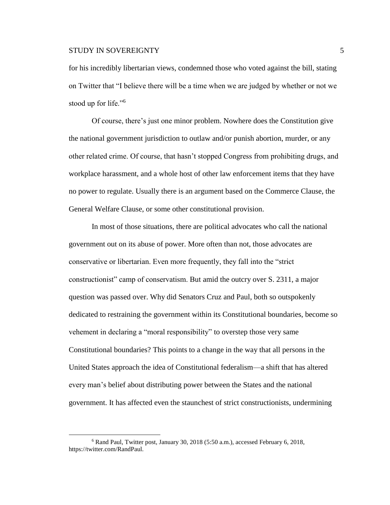for his incredibly libertarian views, condemned those who voted against the bill, stating on Twitter that "I believe there will be a time when we are judged by whether or not we stood up for life."<sup>6</sup>

Of course, there's just one minor problem. Nowhere does the Constitution give the national government jurisdiction to outlaw and/or punish abortion, murder, or any other related crime. Of course, that hasn't stopped Congress from prohibiting drugs, and workplace harassment, and a whole host of other law enforcement items that they have no power to regulate. Usually there is an argument based on the Commerce Clause, the General Welfare Clause, or some other constitutional provision.

In most of those situations, there are political advocates who call the national government out on its abuse of power. More often than not, those advocates are conservative or libertarian. Even more frequently, they fall into the "strict constructionist" camp of conservatism. But amid the outcry over S. 2311, a major question was passed over. Why did Senators Cruz and Paul, both so outspokenly dedicated to restraining the government within its Constitutional boundaries, become so vehement in declaring a "moral responsibility" to overstep those very same Constitutional boundaries? This points to a change in the way that all persons in the United States approach the idea of Constitutional federalism—a shift that has altered every man's belief about distributing power between the States and the national government. It has affected even the staunchest of strict constructionists, undermining

<sup>6</sup> Rand Paul, Twitter post, January 30, 2018 (5:50 a.m.), accessed February 6, 2018, https://twitter.com/RandPaul.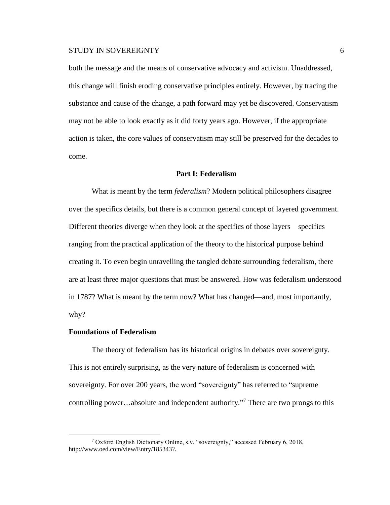both the message and the means of conservative advocacy and activism. Unaddressed, this change will finish eroding conservative principles entirely. However, by tracing the substance and cause of the change, a path forward may yet be discovered. Conservatism may not be able to look exactly as it did forty years ago. However, if the appropriate action is taken, the core values of conservatism may still be preserved for the decades to come.

#### **Part I: Federalism**

What is meant by the term *federalism*? Modern political philosophers disagree over the specifics details, but there is a common general concept of layered government. Different theories diverge when they look at the specifics of those layers—specifics ranging from the practical application of the theory to the historical purpose behind creating it. To even begin unravelling the tangled debate surrounding federalism, there are at least three major questions that must be answered. How was federalism understood in 1787? What is meant by the term now? What has changed—and, most importantly, why?

#### **Foundations of Federalism**

 $\overline{a}$ 

The theory of federalism has its historical origins in debates over sovereignty. This is not entirely surprising, as the very nature of federalism is concerned with sovereignty. For over 200 years, the word "sovereignty" has referred to "supreme controlling power…absolute and independent authority." <sup>7</sup> There are two prongs to this

<sup>7</sup> Oxford English Dictionary Online, s.v. "sovereignty," accessed February 6, 2018, http://www.oed.com/view/Entry/185343?.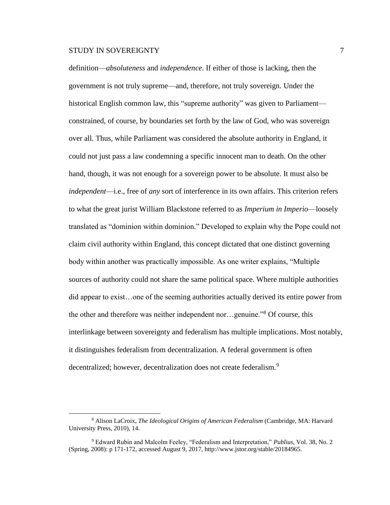$\overline{a}$ 

definition—*absoluteness* and *independence*. If either of those is lacking, then the government is not truly supreme—and, therefore, not truly sovereign. Under the historical English common law, this "supreme authority" was given to Parliament constrained, of course, by boundaries set forth by the law of God, who was sovereign over all. Thus, while Parliament was considered the absolute authority in England, it could not just pass a law condemning a specific innocent man to death. On the other hand, though, it was not enough for a sovereign power to be absolute. It must also be *independent*—i.e., free of *any* sort of interference in its own affairs. This criterion refers to what the great jurist William Blackstone referred to as *Imperium in Imperio*—loosely translated as "dominion within dominion." Developed to explain why the Pope could not claim civil authority within England, this concept dictated that one distinct governing body within another was practically impossible. As one writer explains, "Multiple sources of authority could not share the same political space. Where multiple authorities did appear to exist…one of the seeming authorities actually derived its entire power from the other and therefore was neither independent nor…genuine."<sup>8</sup> Of course, this interlinkage between sovereignty and federalism has multiple implications. Most notably, it distinguishes federalism from decentralization. A federal government is often decentralized; however, decentralization does not create federalism.<sup>9</sup>

<sup>8</sup> Alison LaCroix, *The Ideological Origins of American Federalism* (Cambridge, MA: Harvard University Press, 2010), 14.

<sup>9</sup> Edward Rubin and Malcolm Feeley, "Federalism and Interpretation," *Publius*, Vol. 38, No. 2 (Spring, 2008): p 171-172, accessed August 9, 2017, http://www.jstor.org/stable/20184965.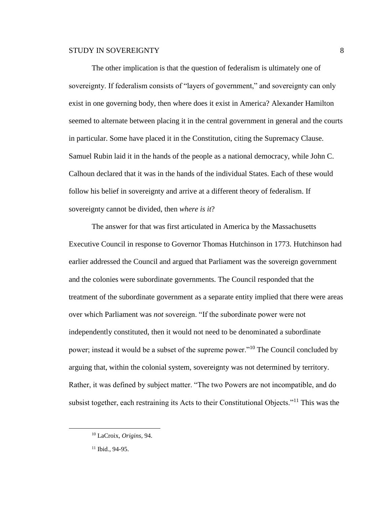The other implication is that the question of federalism is ultimately one of sovereignty. If federalism consists of "layers of government," and sovereignty can only exist in one governing body, then where does it exist in America? Alexander Hamilton seemed to alternate between placing it in the central government in general and the courts in particular. Some have placed it in the Constitution, citing the Supremacy Clause. Samuel Rubin laid it in the hands of the people as a national democracy, while John C. Calhoun declared that it was in the hands of the individual States. Each of these would follow his belief in sovereignty and arrive at a different theory of federalism. If sovereignty cannot be divided, then *where is it*?

The answer for that was first articulated in America by the Massachusetts Executive Council in response to Governor Thomas Hutchinson in 1773. Hutchinson had earlier addressed the Council and argued that Parliament was the sovereign government and the colonies were subordinate governments. The Council responded that the treatment of the subordinate government as a separate entity implied that there were areas over which Parliament was *not* sovereign. "If the subordinate power were not independently constituted, then it would not need to be denominated a subordinate power; instead it would be a subset of the supreme power."<sup>10</sup> The Council concluded by arguing that, within the colonial system, sovereignty was not determined by territory. Rather, it was defined by subject matter. "The two Powers are not incompatible, and do subsist together, each restraining its Acts to their Constitutional Objects."<sup>11</sup> This was the

<sup>10</sup> LaCroix, *Origins*, 94.

<sup>11</sup> Ibid., 94-95.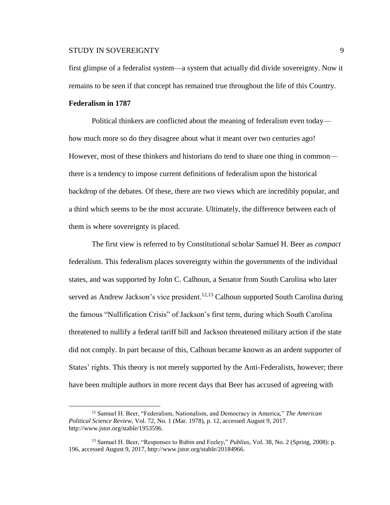first glimpse of a federalist system—a system that actually did divide sovereignty. Now it remains to be seen if that concept has remained true throughout the life of this Country.

#### **Federalism in 1787**

 $\overline{a}$ 

Political thinkers are conflicted about the meaning of federalism even today how much more so do they disagree about what it meant over two centuries ago! However, most of these thinkers and historians do tend to share one thing in common there is a tendency to impose current definitions of federalism upon the historical backdrop of the debates. Of these, there are two views which are incredibly popular, and a third which seems to be the most accurate. Ultimately, the difference between each of them is where sovereignty is placed.

The first view is referred to by Constitutional scholar Samuel H. Beer as *compact*  federalism. This federalism places sovereignty within the governments of the individual states, and was supported by John C. Calhoun, a Senator from South Carolina who later served as Andrew Jackson's vice president.<sup>12,13</sup> Calhoun supported South Carolina during the famous "Nullification Crisis" of Jackson's first term, during which South Carolina threatened to nullify a federal tariff bill and Jackson threatened military action if the state did not comply. In part because of this, Calhoun became known as an ardent supporter of States' rights. This theory is not merely supported by the Anti-Federalists, however; there have been multiple authors in more recent days that Beer has accused of agreeing with

<sup>12</sup> Samuel H. Beer, "Federalism, Nationalism, and Democracy in America," *The American Political Science Review*, Vol. 72, No. 1 (Mar. 1978), p. 12, accessed August 9, 2017. http://www.jstor.org/stable/1953596.

<sup>13</sup> Samuel H. Beer, "Responses to Rubin and Feeley," *Publius*, Vol. 38, No. 2 (Spring, 2008): p. 196, accessed August 9, 2017, http://www.jstor.org/stable/20184966.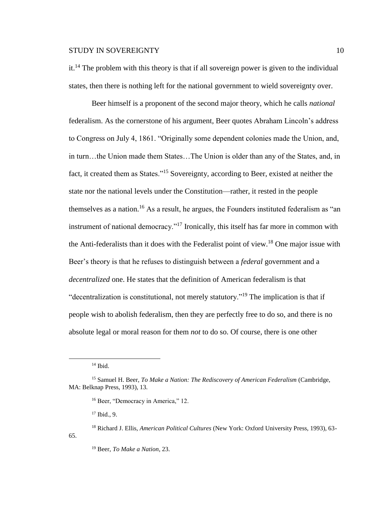it.<sup>14</sup> The problem with this theory is that if all sovereign power is given to the individual states, then there is nothing left for the national government to wield sovereignty over.

Beer himself is a proponent of the second major theory, which he calls *national*  federalism. As the cornerstone of his argument, Beer quotes Abraham Lincoln's address to Congress on July 4, 1861. "Originally some dependent colonies made the Union, and, in turn…the Union made them States…The Union is older than any of the States, and, in fact, it created them as States."<sup>15</sup> Sovereignty, according to Beer, existed at neither the state nor the national levels under the Constitution—rather, it rested in the people themselves as a nation.<sup>16</sup> As a result, he argues, the Founders instituted federalism as "an instrument of national democracy."<sup>17</sup> Ironically, this itself has far more in common with the Anti-federalists than it does with the Federalist point of view.<sup>18</sup> One major issue with Beer's theory is that he refuses to distinguish between a *federal* government and a *decentralized* one. He states that the definition of American federalism is that "decentralization is constitutional, not merely statutory."<sup>19</sup> The implication is that if people wish to abolish federalism, then they are perfectly free to do so, and there is no absolute legal or moral reason for them *not* to do so. Of course, there is one other

 $\overline{a}$ 

65.

 $17$  Ibid., 9.

 $14$  Ibid.

<sup>15</sup> Samuel H. Beer, *To Make a Nation: The Rediscovery of American Federalism* (Cambridge, MA: Belknap Press, 1993), 13.

<sup>&</sup>lt;sup>16</sup> Beer, "Democracy in America," 12.

<sup>18</sup> Richard J. Ellis, *American Political Cultures* (New York: Oxford University Press, 1993), 63-

<sup>19</sup> Beer, *To Make a Nation*, 23.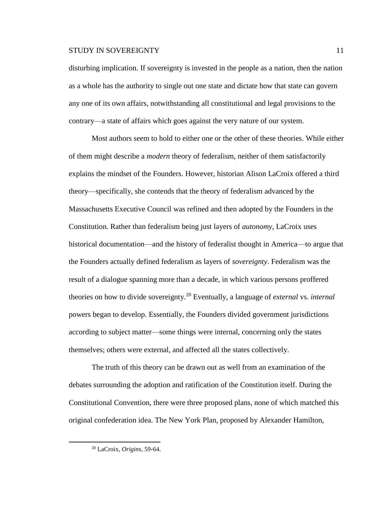disturbing implication. If sovereignty is invested in the people as a nation, then the nation as a whole has the authority to single out one state and dictate how that state can govern any one of its own affairs, notwithstanding all constitutional and legal provisions to the contrary—a state of affairs which goes against the very nature of our system.

Most authors seem to hold to either one or the other of these theories. While either of them might describe a *modern* theory of federalism, neither of them satisfactorily explains the mindset of the Founders. However, historian Alison LaCroix offered a third theory—specifically, she contends that the theory of federalism advanced by the Massachusetts Executive Council was refined and then adopted by the Founders in the Constitution. Rather than federalism being just layers of *autonomy*, LaCroix uses historical documentation—and the history of federalist thought in America—to argue that the Founders actually defined federalism as layers of *sovereignty*. Federalism was the result of a dialogue spanning more than a decade, in which various persons proffered theories on how to divide sovereignty.<sup>20</sup> Eventually, a language of *external* vs. *internal* powers began to develop. Essentially, the Founders divided government jurisdictions according to subject matter—some things were internal, concerning only the states themselves; others were external, and affected all the states collectively.

The truth of this theory can be drawn out as well from an examination of the debates surrounding the adoption and ratification of the Constitution itself. During the Constitutional Convention, there were three proposed plans, none of which matched this original confederation idea. The New York Plan, proposed by Alexander Hamilton,

<sup>20</sup> LaCroix, *Origins*, 59-64.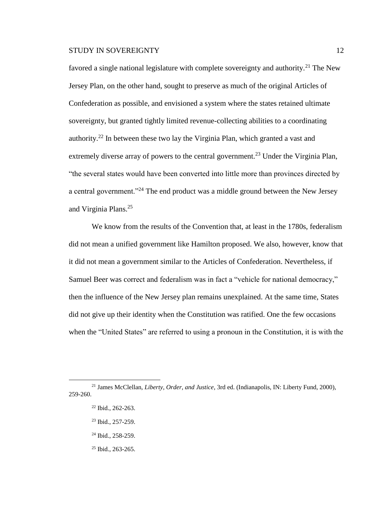favored a single national legislature with complete sovereignty and authority.<sup>21</sup> The New Jersey Plan, on the other hand, sought to preserve as much of the original Articles of Confederation as possible, and envisioned a system where the states retained ultimate sovereignty, but granted tightly limited revenue-collecting abilities to a coordinating authority.<sup>22</sup> In between these two lay the Virginia Plan, which granted a vast and extremely diverse array of powers to the central government.<sup>23</sup> Under the Virginia Plan, "the several states would have been converted into little more than provinces directed by a central government."<sup>24</sup> The end product was a middle ground between the New Jersey and Virginia Plans.<sup>25</sup>

We know from the results of the Convention that, at least in the 1780s, federalism did not mean a unified government like Hamilton proposed. We also, however, know that it did not mean a government similar to the Articles of Confederation. Nevertheless, if Samuel Beer was correct and federalism was in fact a "vehicle for national democracy," then the influence of the New Jersey plan remains unexplained. At the same time, States did not give up their identity when the Constitution was ratified. One the few occasions when the "United States" are referred to using a pronoun in the Constitution, it is with the

- <sup>23</sup> Ibid., 257-259.
- <sup>24</sup> Ibid., 258-259.
- <sup>25</sup> Ibid., 263-265.

<sup>21</sup> James McClellan, *Liberty, Order, and Justice*, 3rd ed. (Indianapolis, IN: Liberty Fund, 2000), 259-260.

<sup>22</sup> Ibid., 262-263.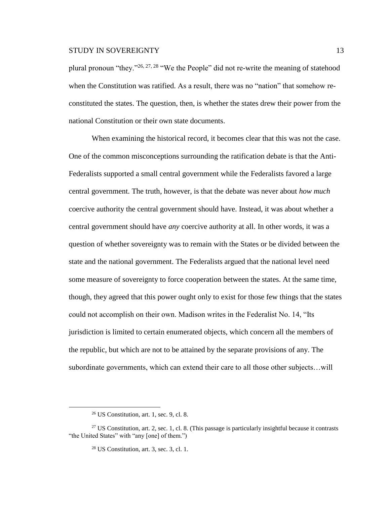plural pronoun "they."<sup>26, 27, 28</sup> "We the People" did not re-write the meaning of statehood when the Constitution was ratified. As a result, there was no "nation" that somehow reconstituted the states. The question, then, is whether the states drew their power from the national Constitution or their own state documents.

When examining the historical record, it becomes clear that this was not the case. One of the common misconceptions surrounding the ratification debate is that the Anti-Federalists supported a small central government while the Federalists favored a large central government. The truth, however, is that the debate was never about *how much* coercive authority the central government should have. Instead, it was about whether a central government should have *any* coercive authority at all. In other words, it was a question of whether sovereignty was to remain with the States or be divided between the state and the national government. The Federalists argued that the national level need some measure of sovereignty to force cooperation between the states. At the same time, though, they agreed that this power ought only to exist for those few things that the states could not accomplish on their own. Madison writes in the Federalist No. 14, "Its jurisdiction is limited to certain enumerated objects, which concern all the members of the republic, but which are not to be attained by the separate provisions of any. The subordinate governments, which can extend their care to all those other subjects…will

 $26$  US Constitution, art. 1, sec. 9, cl. 8.

<sup>&</sup>lt;sup>27</sup> US Constitution, art. 2, sec. 1, cl. 8. (This passage is particularly insightful because it contrasts "the United States" with "any [one] of them.")

 $28$  US Constitution, art. 3, sec. 3, cl. 1.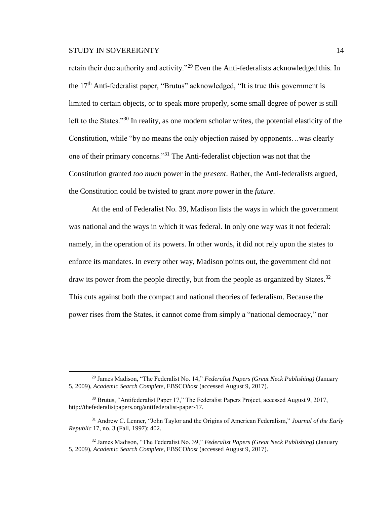$\overline{a}$ 

retain their due authority and activity."<sup>29</sup> Even the Anti-federalists acknowledged this. In the  $17<sup>th</sup>$  Anti-federalist paper, "Brutus" acknowledged, "It is true this government is limited to certain objects, or to speak more properly, some small degree of power is still left to the States."<sup>30</sup> In reality, as one modern scholar writes, the potential elasticity of the Constitution, while "by no means the only objection raised by opponents…was clearly one of their primary concerns."<sup>31</sup> The Anti-federalist objection was not that the Constitution granted *too much* power in the *present*. Rather, the Anti-federalists argued, the Constitution could be twisted to grant *more* power in the *future*.

At the end of Federalist No. 39, Madison lists the ways in which the government was national and the ways in which it was federal. In only one way was it not federal: namely, in the operation of its powers. In other words, it did not rely upon the states to enforce its mandates. In every other way, Madison points out, the government did not draw its power from the people directly, but from the people as organized by States.<sup>32</sup> This cuts against both the compact and national theories of federalism. Because the power rises from the States, it cannot come from simply a "national democracy," nor

<sup>29</sup> James Madison, "The Federalist No. 14," *Federalist Papers (Great Neck Publishing)* (January 5, 2009), *Academic Search Complete*, EBSCO*host* (accessed August 9, 2017).

<sup>&</sup>lt;sup>30</sup> Brutus, "Antifederalist Paper 17," The Federalist Papers Project, accessed August 9, 2017, http://thefederalistpapers.org/antifederalist-paper-17.

<sup>31</sup> Andrew C. Lenner, "John Taylor and the Origins of American Federalism," *Journal of the Early Republic* 17, no. 3 (Fall, 1997): 402.

<sup>32</sup> James Madison, "The Federalist No. 39," *Federalist Papers (Great Neck Publishing)* (January 5, 2009), *Academic Search Complete*, EBSCO*host* (accessed August 9, 2017).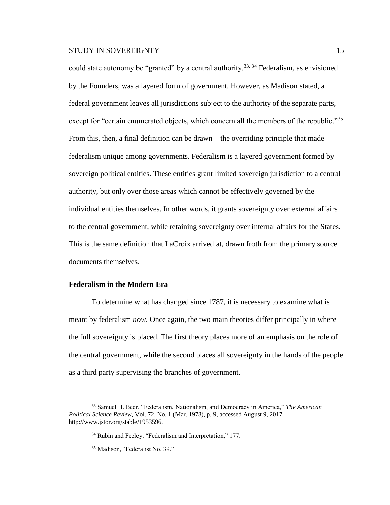could state autonomy be "granted" by a central authority.<sup>33, 34</sup> Federalism, as envisioned by the Founders, was a layered form of government. However, as Madison stated, a federal government leaves all jurisdictions subject to the authority of the separate parts, except for "certain enumerated objects, which concern all the members of the republic."<sup>35</sup> From this, then, a final definition can be drawn—the overriding principle that made federalism unique among governments. Federalism is a layered government formed by sovereign political entities. These entities grant limited sovereign jurisdiction to a central authority, but only over those areas which cannot be effectively governed by the individual entities themselves. In other words, it grants sovereignty over external affairs to the central government, while retaining sovereignty over internal affairs for the States. This is the same definition that LaCroix arrived at, drawn froth from the primary source documents themselves.

# **Federalism in the Modern Era**

 $\overline{a}$ 

To determine what has changed since 1787, it is necessary to examine what is meant by federalism *now*. Once again, the two main theories differ principally in where the full sovereignty is placed. The first theory places more of an emphasis on the role of the central government, while the second places all sovereignty in the hands of the people as a third party supervising the branches of government.

<sup>33</sup> Samuel H. Beer, "Federalism, Nationalism, and Democracy in America," *The American Political Science Review*, Vol. 72, No. 1 (Mar. 1978), p. 9, accessed August 9, 2017. http://www.jstor.org/stable/1953596.

<sup>&</sup>lt;sup>34</sup> Rubin and Feeley, "Federalism and Interpretation," 177.

<sup>35</sup> Madison, "Federalist No. 39."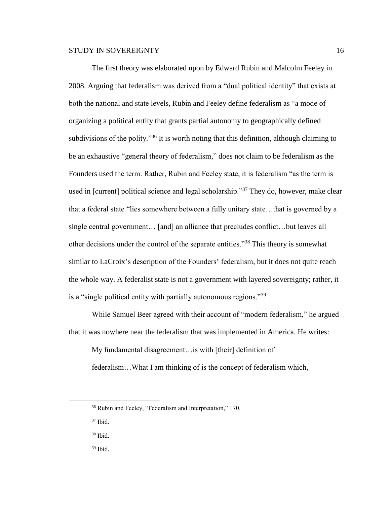The first theory was elaborated upon by Edward Rubin and Malcolm Feeley in 2008. Arguing that federalism was derived from a "dual political identity" that exists at both the national and state levels, Rubin and Feeley define federalism as "a mode of organizing a political entity that grants partial autonomy to geographically defined subdivisions of the polity.<sup>356</sup> It is worth noting that this definition, although claiming to be an exhaustive "general theory of federalism," does not claim to be federalism as the Founders used the term. Rather, Rubin and Feeley state, it is federalism "as the term is used in [current] political science and legal scholarship."<sup>37</sup> They do, however, make clear that a federal state "lies somewhere between a fully unitary state…that is governed by a single central government… [and] an alliance that precludes conflict…but leaves all other decisions under the control of the separate entities."<sup>38</sup> This theory is somewhat similar to LaCroix's description of the Founders' federalism, but it does not quite reach the whole way. A federalist state is not a government with layered sovereignty; rather, it is a "single political entity with partially autonomous regions."<sup>39</sup>

While Samuel Beer agreed with their account of "modern federalism," he argued that it was nowhere near the federalism that was implemented in America. He writes:

My fundamental disagreement…is with [their] definition of federalism…What I am thinking of is the concept of federalism which,

<sup>36</sup> Rubin and Feeley, "Federalism and Interpretation," 170.

<sup>37</sup> Ibid.

<sup>38</sup> Ibid.

<sup>39</sup> Ibid.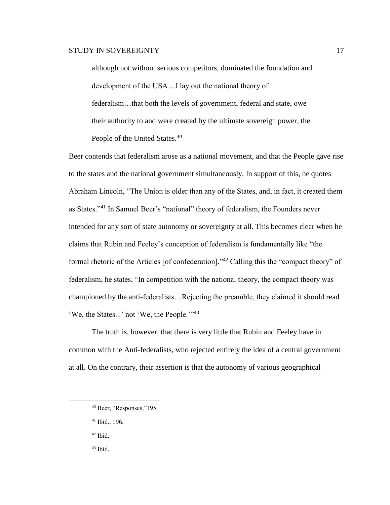although not without serious competitors, dominated the foundation and development of the USA…I lay out the national theory of federalism…that both the levels of government, federal and state, owe their authority to and were created by the ultimate sovereign power, the People of the United States.<sup>40</sup>

Beer contends that federalism arose as a national movement, and that the People gave rise to the states and the national government simultaneously. In support of this, he quotes Abraham Lincoln, "The Union is older than any of the States, and, in fact, it created them as States."<sup>41</sup> In Samuel Beer's "national" theory of federalism, the Founders never intended for any sort of state autonomy or sovereignty at all. This becomes clear when he claims that Rubin and Feeley's conception of federalism is fundamentally like "the formal rhetoric of the Articles [of confederation]."<sup>42</sup> Calling this the "compact theory" of federalism, he states, "In competition with the national theory, the compact theory was championed by the anti-federalists…Rejecting the preamble, they claimed it should read 'We, the States...' not 'We, the People.'"<sup>43</sup>

The truth is, however, that there is very little that Rubin and Feeley have in common with the Anti-federalists, who rejected entirely the idea of a central government at all. On the contrary, their assertion is that the autonomy of various geographical

 $42$  Ibid.

<sup>40</sup> Beer, "Responses,"195.

<sup>41</sup> Ibid., 196.

<sup>43</sup> Ibid.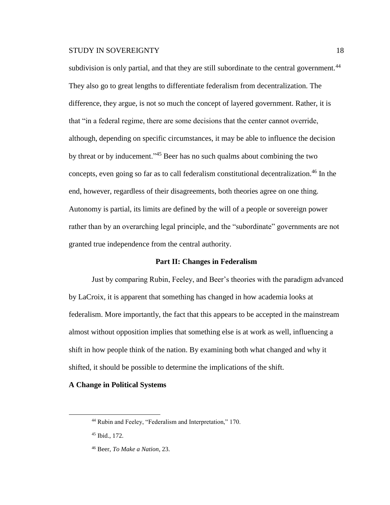subdivision is only partial, and that they are still subordinate to the central government.<sup>44</sup> They also go to great lengths to differentiate federalism from decentralization. The difference, they argue, is not so much the concept of layered government. Rather, it is that "in a federal regime, there are some decisions that the center cannot override, although, depending on specific circumstances, it may be able to influence the decision by threat or by inducement."<sup>45</sup> Beer has no such qualms about combining the two concepts, even going so far as to call federalism constitutional decentralization.<sup>46</sup> In the end, however, regardless of their disagreements, both theories agree on one thing. Autonomy is partial, its limits are defined by the will of a people or sovereign power rather than by an overarching legal principle, and the "subordinate" governments are not granted true independence from the central authority.

#### **Part II: Changes in Federalism**

Just by comparing Rubin, Feeley, and Beer's theories with the paradigm advanced by LaCroix, it is apparent that something has changed in how academia looks at federalism. More importantly, the fact that this appears to be accepted in the mainstream almost without opposition implies that something else is at work as well, influencing a shift in how people think of the nation. By examining both what changed and why it shifted, it should be possible to determine the implications of the shift.

#### **A Change in Political Systems**

<sup>44</sup> Rubin and Feeley, "Federalism and Interpretation," 170.

<sup>45</sup> Ibid., 172.

<sup>46</sup> Beer, *To Make a Nation*, 23.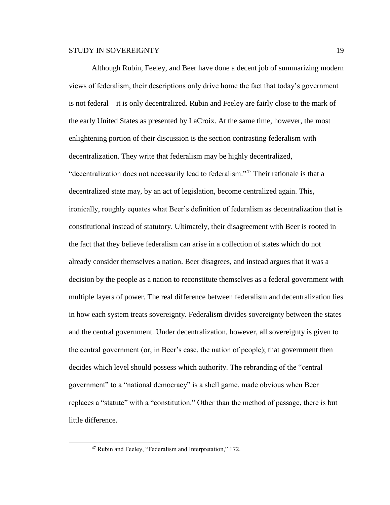Although Rubin, Feeley, and Beer have done a decent job of summarizing modern views of federalism, their descriptions only drive home the fact that today's government is not federal—it is only decentralized. Rubin and Feeley are fairly close to the mark of the early United States as presented by LaCroix. At the same time, however, the most enlightening portion of their discussion is the section contrasting federalism with decentralization. They write that federalism may be highly decentralized, "decentralization does not necessarily lead to federalism."<sup>47</sup> Their rationale is that a decentralized state may, by an act of legislation, become centralized again. This, ironically, roughly equates what Beer's definition of federalism as decentralization that is constitutional instead of statutory. Ultimately, their disagreement with Beer is rooted in the fact that they believe federalism can arise in a collection of states which do not already consider themselves a nation. Beer disagrees, and instead argues that it was a decision by the people as a nation to reconstitute themselves as a federal government with multiple layers of power. The real difference between federalism and decentralization lies in how each system treats sovereignty. Federalism divides sovereignty between the states and the central government. Under decentralization, however, all sovereignty is given to the central government (or, in Beer's case, the nation of people); that government then decides which level should possess which authority. The rebranding of the "central government" to a "national democracy" is a shell game, made obvious when Beer replaces a "statute" with a "constitution." Other than the method of passage, there is but little difference.

<sup>47</sup> Rubin and Feeley, "Federalism and Interpretation," 172.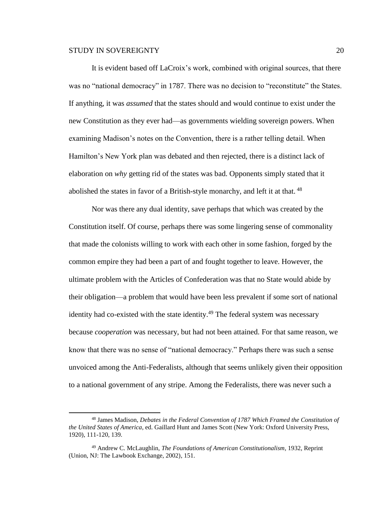$\overline{a}$ 

It is evident based off LaCroix's work, combined with original sources, that there was no "national democracy" in 1787. There was no decision to "reconstitute" the States. If anything, it was *assumed* that the states should and would continue to exist under the new Constitution as they ever had—as governments wielding sovereign powers. When examining Madison's notes on the Convention, there is a rather telling detail. When Hamilton's New York plan was debated and then rejected, there is a distinct lack of elaboration on *why* getting rid of the states was bad. Opponents simply stated that it abolished the states in favor of a British-style monarchy, and left it at that. <sup>48</sup>

Nor was there any dual identity, save perhaps that which was created by the Constitution itself. Of course, perhaps there was some lingering sense of commonality that made the colonists willing to work with each other in some fashion, forged by the common empire they had been a part of and fought together to leave. However, the ultimate problem with the Articles of Confederation was that no State would abide by their obligation—a problem that would have been less prevalent if some sort of national identity had co-existed with the state identity.<sup>49</sup> The federal system was necessary because *cooperation* was necessary, but had not been attained. For that same reason, we know that there was no sense of "national democracy." Perhaps there was such a sense unvoiced among the Anti-Federalists, although that seems unlikely given their opposition to a national government of any stripe. Among the Federalists, there was never such a

<sup>48</sup> James Madison, *Debates in the Federal Convention of 1787 Which Framed the Constitution of the United States of America*, ed. Gaillard Hunt and James Scott (New York: Oxford University Press, 1920), 111-120, 139.

<sup>49</sup> Andrew C. McLaughlin, *The Foundations of American Constitutionalism*, 1932, Reprint (Union, NJ: The Lawbook Exchange, 2002), 151.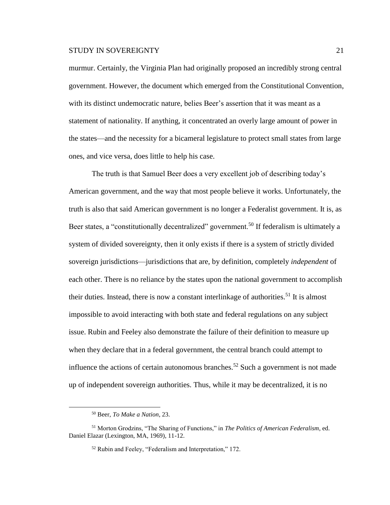murmur. Certainly, the Virginia Plan had originally proposed an incredibly strong central government. However, the document which emerged from the Constitutional Convention, with its distinct undemocratic nature, belies Beer's assertion that it was meant as a statement of nationality. If anything, it concentrated an overly large amount of power in the states—and the necessity for a bicameral legislature to protect small states from large ones, and vice versa, does little to help his case.

The truth is that Samuel Beer does a very excellent job of describing today's American government, and the way that most people believe it works. Unfortunately, the truth is also that said American government is no longer a Federalist government. It is, as Beer states, a "constitutionally decentralized" government.<sup>50</sup> If federalism is ultimately a system of divided sovereignty, then it only exists if there is a system of strictly divided sovereign jurisdictions—jurisdictions that are, by definition, completely *independent* of each other. There is no reliance by the states upon the national government to accomplish their duties. Instead, there is now a constant interlinkage of authorities.<sup>51</sup> It is almost impossible to avoid interacting with both state and federal regulations on any subject issue. Rubin and Feeley also demonstrate the failure of their definition to measure up when they declare that in a federal government, the central branch could attempt to influence the actions of certain autonomous branches.<sup>52</sup> Such a government is not made up of independent sovereign authorities. Thus, while it may be decentralized, it is no

<sup>50</sup> Beer, *To Make a Nation*, 23.

<sup>51</sup> Morton Grodzins, "The Sharing of Functions," in *The Politics of American Federalism*, ed. Daniel Elazar (Lexington, MA, 1969), 11-12.

<sup>52</sup> Rubin and Feeley, "Federalism and Interpretation," 172.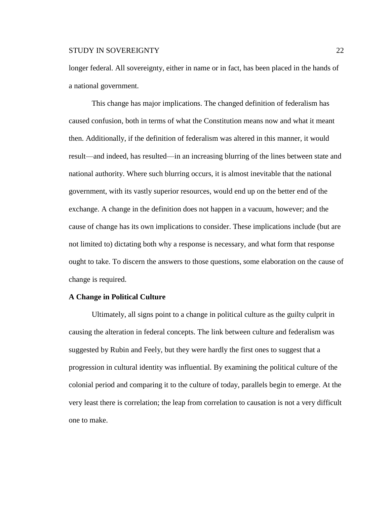longer federal. All sovereignty, either in name or in fact, has been placed in the hands of a national government.

This change has major implications. The changed definition of federalism has caused confusion, both in terms of what the Constitution means now and what it meant then. Additionally, if the definition of federalism was altered in this manner, it would result—and indeed, has resulted—in an increasing blurring of the lines between state and national authority. Where such blurring occurs, it is almost inevitable that the national government, with its vastly superior resources, would end up on the better end of the exchange. A change in the definition does not happen in a vacuum, however; and the cause of change has its own implications to consider. These implications include (but are not limited to) dictating both why a response is necessary, and what form that response ought to take. To discern the answers to those questions, some elaboration on the cause of change is required.

#### **A Change in Political Culture**

Ultimately, all signs point to a change in political culture as the guilty culprit in causing the alteration in federal concepts. The link between culture and federalism was suggested by Rubin and Feely, but they were hardly the first ones to suggest that a progression in cultural identity was influential. By examining the political culture of the colonial period and comparing it to the culture of today, parallels begin to emerge. At the very least there is correlation; the leap from correlation to causation is not a very difficult one to make.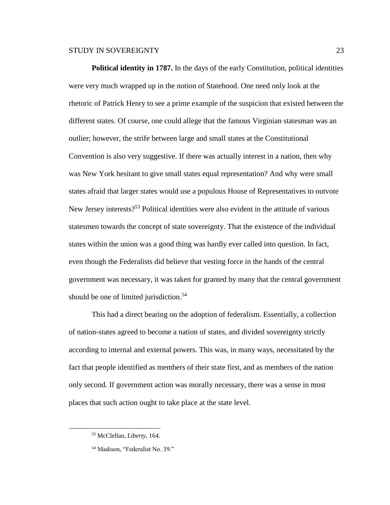**Political identity in 1787.** In the days of the early Constitution, political identities were very much wrapped up in the notion of Statehood. One need only look at the rhetoric of Patrick Henry to see a prime example of the suspicion that existed between the different states. Of course, one could allege that the famous Virginian statesman was an outlier; however, the strife between large and small states at the Constitutional Convention is also very suggestive. If there was actually interest in a nation, then why was New York hesitant to give small states equal representation? And why were small states afraid that larger states would use a populous House of Representatives to outvote New Jersey interests?<sup>53</sup> Political identities were also evident in the attitude of various statesmen towards the concept of state sovereignty. That the existence of the individual states within the union was a good thing was hardly ever called into question. In fact, even though the Federalists did believe that vesting force in the hands of the central government was necessary, it was taken for granted by many that the central government should be one of limited jurisdiction.<sup>54</sup>

This had a direct bearing on the adoption of federalism. Essentially, a collection of nation-states agreed to become a nation of states, and divided sovereignty strictly according to internal and external powers. This was, in many ways, necessitated by the fact that people identified as members of their state first, and as members of the nation only second. If government action was morally necessary, there was a sense in most places that such action ought to take place at the state level.

<sup>53</sup> McClellan, *Liberty*, 164.

<sup>54</sup> Madison, "Federalist No. 39."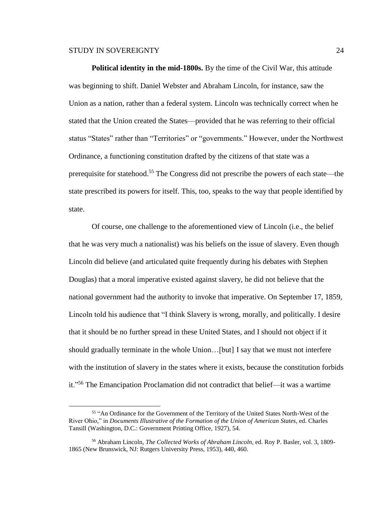$\overline{a}$ 

**Political identity in the mid-1800s.** By the time of the Civil War, this attitude was beginning to shift. Daniel Webster and Abraham Lincoln, for instance, saw the Union as a nation, rather than a federal system. Lincoln was technically correct when he stated that the Union created the States—provided that he was referring to their official status "States" rather than "Territories" or "governments." However, under the Northwest Ordinance, a functioning constitution drafted by the citizens of that state was a prerequisite for statehood.<sup>55</sup> The Congress did not prescribe the powers of each state—the state prescribed its powers for itself. This, too, speaks to the way that people identified by state.

Of course, one challenge to the aforementioned view of Lincoln (i.e., the belief that he was very much a nationalist) was his beliefs on the issue of slavery. Even though Lincoln did believe (and articulated quite frequently during his debates with Stephen Douglas) that a moral imperative existed against slavery, he did not believe that the national government had the authority to invoke that imperative. On September 17, 1859, Lincoln told his audience that "I think Slavery is wrong, morally, and politically. I desire that it should be no further spread in these United States, and I should not object if it should gradually terminate in the whole Union…[but] I say that we must not interfere with the institution of slavery in the states where it exists, because the constitution forbids it."<sup>56</sup> The Emancipation Proclamation did not contradict that belief—it was a wartime

<sup>&</sup>lt;sup>55</sup> "An Ordinance for the Government of the Territory of the United States North-West of the River Ohio," in *Documents Illustrative of the Formation of the Union of American States*, ed. Charles Tansill (Washington, D.C.: Government Printing Office, 1927), 54.

<sup>56</sup> Abraham Lincoln, *The Collected Works of Abraham Lincoln*, ed. Roy P. Basler, vol. 3, 1809- 1865 (New Brunswick, NJ: Rutgers University Press, 1953), 440, 460.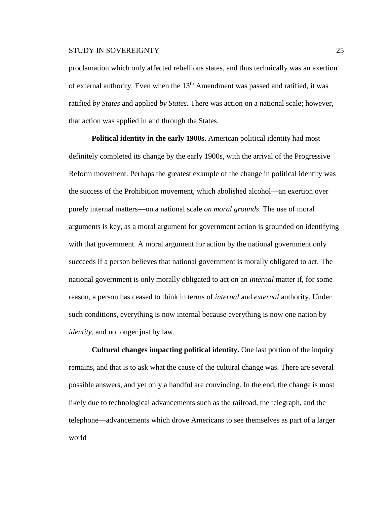proclamation which only affected rebellious states, and thus technically was an exertion of external authority. Even when the  $13<sup>th</sup>$  Amendment was passed and ratified, it was ratified *by States* and applied *by States*. There was action on a national scale; however, that action was applied in and through the States.

**Political identity in the early 1900s.** American political identity had most definitely completed its change by the early 1900s, with the arrival of the Progressive Reform movement. Perhaps the greatest example of the change in political identity was the success of the Prohibition movement, which abolished alcohol—an exertion over purely internal matters—on a national scale *on moral grounds*. The use of moral arguments is key, as a moral argument for government action is grounded on identifying with that government. A moral argument for action by the national government only succeeds if a person believes that national government is morally obligated to act. The national government is only morally obligated to act on an *internal* matter if, for some reason, a person has ceased to think in terms of *internal* and *external* authority. Under such conditions, everything is now internal because everything is now one nation by *identity*, and no longer just by law.

**Cultural changes impacting political identity.** One last portion of the inquiry remains, and that is to ask what the cause of the cultural change was. There are several possible answers, and yet only a handful are convincing. In the end, the change is most likely due to technological advancements such as the railroad, the telegraph, and the telephone—advancements which drove Americans to see themselves as part of a larger world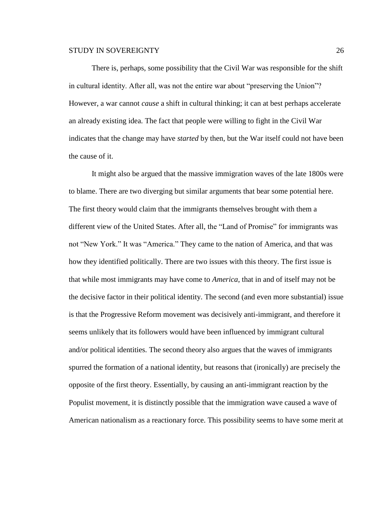There is, perhaps, some possibility that the Civil War was responsible for the shift in cultural identity. After all, was not the entire war about "preserving the Union"? However, a war cannot *cause* a shift in cultural thinking; it can at best perhaps accelerate an already existing idea. The fact that people were willing to fight in the Civil War indicates that the change may have *started* by then, but the War itself could not have been the cause of it.

It might also be argued that the massive immigration waves of the late 1800s were to blame. There are two diverging but similar arguments that bear some potential here. The first theory would claim that the immigrants themselves brought with them a different view of the United States. After all, the "Land of Promise" for immigrants was not "New York." It was "America." They came to the nation of America, and that was how they identified politically. There are two issues with this theory. The first issue is that while most immigrants may have come to *America*, that in and of itself may not be the decisive factor in their political identity. The second (and even more substantial) issue is that the Progressive Reform movement was decisively anti-immigrant, and therefore it seems unlikely that its followers would have been influenced by immigrant cultural and/or political identities. The second theory also argues that the waves of immigrants spurred the formation of a national identity, but reasons that (ironically) are precisely the opposite of the first theory. Essentially, by causing an anti-immigrant reaction by the Populist movement, it is distinctly possible that the immigration wave caused a wave of American nationalism as a reactionary force. This possibility seems to have some merit at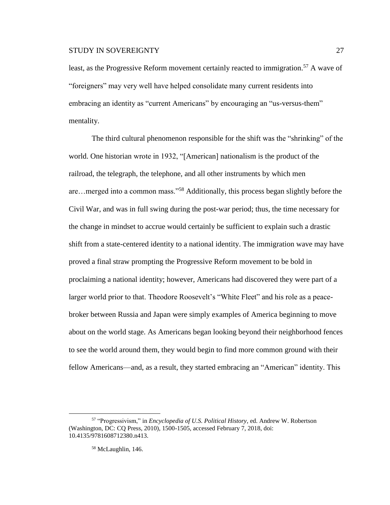least, as the Progressive Reform movement certainly reacted to immigration.<sup>57</sup> A wave of "foreigners" may very well have helped consolidate many current residents into embracing an identity as "current Americans" by encouraging an "us-versus-them" mentality.

The third cultural phenomenon responsible for the shift was the "shrinking" of the world. One historian wrote in 1932, "[American] nationalism is the product of the railroad, the telegraph, the telephone, and all other instruments by which men are…merged into a common mass."<sup>58</sup> Additionally, this process began slightly before the Civil War, and was in full swing during the post-war period; thus, the time necessary for the change in mindset to accrue would certainly be sufficient to explain such a drastic shift from a state-centered identity to a national identity. The immigration wave may have proved a final straw prompting the Progressive Reform movement to be bold in proclaiming a national identity; however, Americans had discovered they were part of a larger world prior to that. Theodore Roosevelt's "White Fleet" and his role as a peacebroker between Russia and Japan were simply examples of America beginning to move about on the world stage. As Americans began looking beyond their neighborhood fences to see the world around them, they would begin to find more common ground with their fellow Americans—and, as a result, they started embracing an "American" identity. This

<sup>57</sup> "Progressivism," in *Encyclopedia of U.S. Political History*, ed. Andrew W. Robertson (Washington, DC: CQ Press, 2010), 1500-1505, accessed February 7, 2018, doi: 10.4135/9781608712380.n413.

<sup>58</sup> McLaughlin, 146.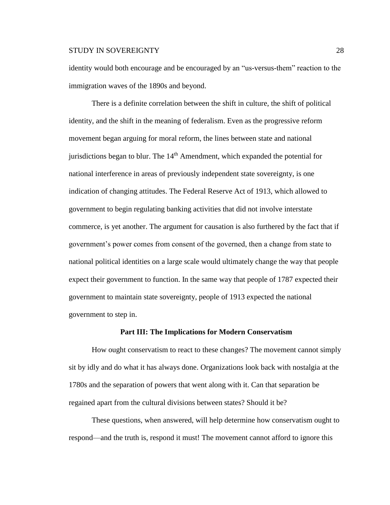identity would both encourage and be encouraged by an "us-versus-them" reaction to the immigration waves of the 1890s and beyond.

There is a definite correlation between the shift in culture, the shift of political identity, and the shift in the meaning of federalism. Even as the progressive reform movement began arguing for moral reform, the lines between state and national jurisdictions began to blur. The  $14<sup>th</sup>$  Amendment, which expanded the potential for national interference in areas of previously independent state sovereignty, is one indication of changing attitudes. The Federal Reserve Act of 1913, which allowed to government to begin regulating banking activities that did not involve interstate commerce, is yet another. The argument for causation is also furthered by the fact that if government's power comes from consent of the governed, then a change from state to national political identities on a large scale would ultimately change the way that people expect their government to function. In the same way that people of 1787 expected their government to maintain state sovereignty, people of 1913 expected the national government to step in.

#### **Part III: The Implications for Modern Conservatism**

How ought conservatism to react to these changes? The movement cannot simply sit by idly and do what it has always done. Organizations look back with nostalgia at the 1780s and the separation of powers that went along with it. Can that separation be regained apart from the cultural divisions between states? Should it be?

These questions, when answered, will help determine how conservatism ought to respond—and the truth is, respond it must! The movement cannot afford to ignore this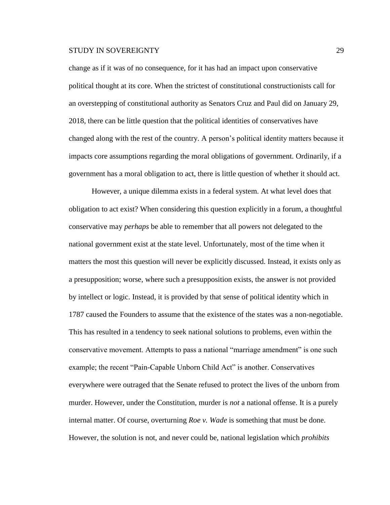change as if it was of no consequence, for it has had an impact upon conservative political thought at its core. When the strictest of constitutional constructionists call for an overstepping of constitutional authority as Senators Cruz and Paul did on January 29, 2018, there can be little question that the political identities of conservatives have changed along with the rest of the country. A person's political identity matters because it impacts core assumptions regarding the moral obligations of government. Ordinarily, if a government has a moral obligation to act, there is little question of whether it should act.

However, a unique dilemma exists in a federal system. At what level does that obligation to act exist? When considering this question explicitly in a forum, a thoughtful conservative may *perhaps* be able to remember that all powers not delegated to the national government exist at the state level. Unfortunately, most of the time when it matters the most this question will never be explicitly discussed. Instead, it exists only as a presupposition; worse, where such a presupposition exists, the answer is not provided by intellect or logic. Instead, it is provided by that sense of political identity which in 1787 caused the Founders to assume that the existence of the states was a non-negotiable. This has resulted in a tendency to seek national solutions to problems, even within the conservative movement. Attempts to pass a national "marriage amendment" is one such example; the recent "Pain-Capable Unborn Child Act" is another. Conservatives everywhere were outraged that the Senate refused to protect the lives of the unborn from murder. However, under the Constitution, murder is *not* a national offense. It is a purely internal matter. Of course, overturning *Roe v. Wade* is something that must be done. However, the solution is not, and never could be, national legislation which *prohibits*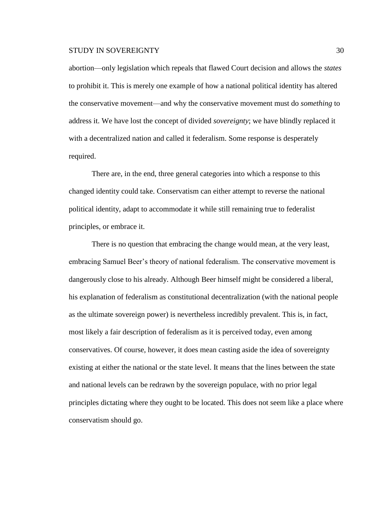abortion—only legislation which repeals that flawed Court decision and allows the *states* to prohibit it. This is merely one example of how a national political identity has altered the conservative movement—and why the conservative movement must do *something* to address it. We have lost the concept of divided *sovereignty*; we have blindly replaced it with a decentralized nation and called it federalism. Some response is desperately required.

There are, in the end, three general categories into which a response to this changed identity could take. Conservatism can either attempt to reverse the national political identity, adapt to accommodate it while still remaining true to federalist principles, or embrace it.

There is no question that embracing the change would mean, at the very least, embracing Samuel Beer's theory of national federalism. The conservative movement is dangerously close to his already. Although Beer himself might be considered a liberal, his explanation of federalism as constitutional decentralization (with the national people as the ultimate sovereign power) is nevertheless incredibly prevalent. This is, in fact, most likely a fair description of federalism as it is perceived today, even among conservatives. Of course, however, it does mean casting aside the idea of sovereignty existing at either the national or the state level. It means that the lines between the state and national levels can be redrawn by the sovereign populace, with no prior legal principles dictating where they ought to be located. This does not seem like a place where conservatism should go.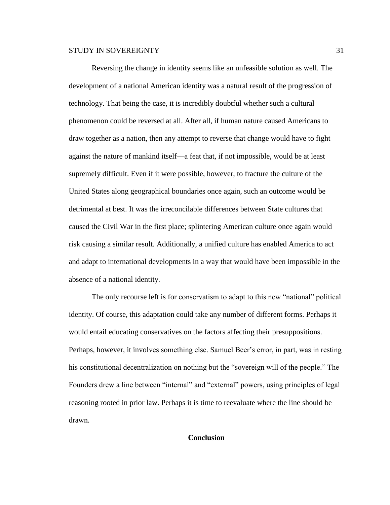Reversing the change in identity seems like an unfeasible solution as well. The development of a national American identity was a natural result of the progression of technology. That being the case, it is incredibly doubtful whether such a cultural phenomenon could be reversed at all. After all, if human nature caused Americans to draw together as a nation, then any attempt to reverse that change would have to fight against the nature of mankind itself—a feat that, if not impossible, would be at least supremely difficult. Even if it were possible, however, to fracture the culture of the United States along geographical boundaries once again, such an outcome would be detrimental at best. It was the irreconcilable differences between State cultures that caused the Civil War in the first place; splintering American culture once again would risk causing a similar result. Additionally, a unified culture has enabled America to act and adapt to international developments in a way that would have been impossible in the absence of a national identity.

The only recourse left is for conservatism to adapt to this new "national" political identity. Of course, this adaptation could take any number of different forms. Perhaps it would entail educating conservatives on the factors affecting their presuppositions. Perhaps, however, it involves something else. Samuel Beer's error, in part, was in resting his constitutional decentralization on nothing but the "sovereign will of the people." The Founders drew a line between "internal" and "external" powers, using principles of legal reasoning rooted in prior law. Perhaps it is time to reevaluate where the line should be drawn.

#### **Conclusion**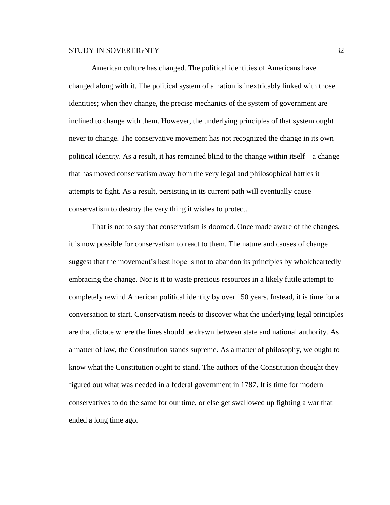American culture has changed. The political identities of Americans have changed along with it. The political system of a nation is inextricably linked with those identities; when they change, the precise mechanics of the system of government are inclined to change with them. However, the underlying principles of that system ought never to change. The conservative movement has not recognized the change in its own political identity. As a result, it has remained blind to the change within itself—a change that has moved conservatism away from the very legal and philosophical battles it attempts to fight. As a result, persisting in its current path will eventually cause conservatism to destroy the very thing it wishes to protect.

That is not to say that conservatism is doomed. Once made aware of the changes, it is now possible for conservatism to react to them. The nature and causes of change suggest that the movement's best hope is not to abandon its principles by wholeheartedly embracing the change. Nor is it to waste precious resources in a likely futile attempt to completely rewind American political identity by over 150 years. Instead, it is time for a conversation to start. Conservatism needs to discover what the underlying legal principles are that dictate where the lines should be drawn between state and national authority. As a matter of law, the Constitution stands supreme. As a matter of philosophy, we ought to know what the Constitution ought to stand. The authors of the Constitution thought they figured out what was needed in a federal government in 1787. It is time for modern conservatives to do the same for our time, or else get swallowed up fighting a war that ended a long time ago.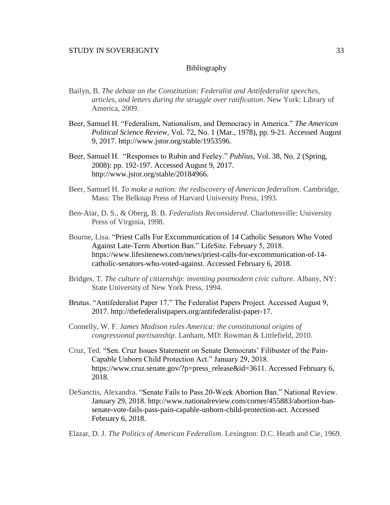## Bibliography

- Bailyn, B. *The debate on the Constitution: Federalist and Antifederalist speeches, articles, and letters during the struggle over ratification*. New York: Library of America, 2009.
- Beer, Samuel H. "Federalism, Nationalism, and Democracy in America." *The American Political Science Review*, Vol. 72, No. 1 (Mar., 1978), pp. 9-21. Accessed August 9, 2017. http://www.jstor.org/stable/1953596.
- Beer, Samuel H. "Responses to Rubin and Feeley." *Publius*, Vol. 38, No. 2 (Spring, 2008): pp. 192-197. Accessed August 9, 2017. http://www.jstor.org/stable/20184966.
- Beer, Samuel H. *To make a nation: the rediscovery of American federalism*. Cambridge, Mass: The Belknap Press of Harvard University Press, 1993.
- Ben-Atar, D. S., & Oberg, B. B. *Federalists Reconsidered*. Charlottesville: University Press of Virginia, 1998.
- Bourne, Lisa. "Priest Calls For Excommunication of 14 Catholic Senators Who Voted Against Late-Term Abortion Ban." LifeSite. February 5, 2018. https://www.lifesitenews.com/news/priest-calls-for-excommunication-of-14 catholic-senators-who-voted-against. Accessed February 6, 2018.
- Bridges, T. *The culture of citizenship: inventing postmodern civic culture*. Albany, NY: State University of New York Press, 1994.
- Brutus. "Antifederalist Paper 17." The Federalist Papers Project. Accessed August 9, 2017. http://thefederalistpapers.org/antifederalist-paper-17.
- Connelly, W. F. *James Madison rules America: the constitutional origins of congressional partisanship*. Lanham, MD: Rowman & Littlefield, 2010.
- Cruz, Ted. "Sen. Cruz Issues Statement on Senate Democrats' Filibuster of the Pain-Capable Unborn Child Protection Act." January 29, 2018. https://www.cruz.senate.gov/?p=press\_release&id=3611. Accessed February 6, 2018.
- DeSanctis, Alexandra. "Senate Fails to Pass 20-Week Abortion Ban." National Review. January 29, 2018. http://www.nationalreview.com/corner/455883/abortion-bansenate-vote-fails-pass-pain-capable-unborn-child-protection-act. Accessed February 6, 2018.

Elazar, D. J. *The Politics of American Federalism*. Lexington: D.C. Heath and Cie, 1969.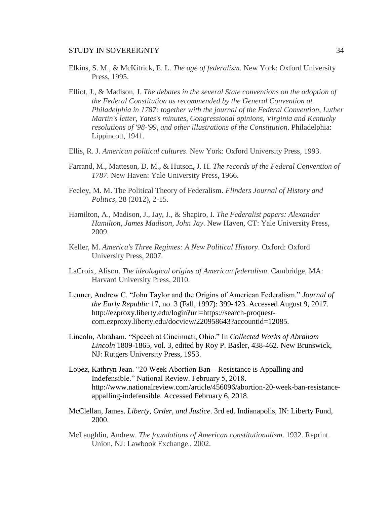- Elkins, S. M., & McKitrick, E. L. *The age of federalism*. New York: Oxford University Press, 1995.
- Elliot, J., & Madison, J. *The debates in the several State conventions on the adoption of the Federal Constitution as recommended by the General Convention at Philadelphia in 1787: together with the journal of the Federal Convention, Luther Martin's letter, Yates's minutes, Congressional opinions, Virginia and Kentucky resolutions of '98-'99, and other illustrations of the Constitution*. Philadelphia: Lippincott, 1941.
- Ellis, R. J. *American political cultures*. New York: Oxford University Press, 1993.
- Farrand, M., Matteson, D. M., & Hutson, J. H. *The records of the Federal Convention of 1787*. New Haven: Yale University Press, 1966.
- Feeley, M. M. The Political Theory of Federalism. *Flinders Journal of History and Politics*, 28 (2012), 2-15.
- Hamilton, A., Madison, J., Jay, J., & Shapiro, I. *The Federalist papers: Alexander Hamilton, James Madison, John Jay*. New Haven, CT: Yale University Press, 2009.
- Keller, M. *America's Three Regimes: A New Political History*. Oxford: Oxford University Press, 2007.
- LaCroix, Alison. *The ideological origins of American federalism*. Cambridge, MA: Harvard University Press, 2010.
- Lenner, Andrew C. "John Taylor and the Origins of American Federalism." *Journal of the Early Republic* 17, no. 3 (Fall, 1997): 399-423. Accessed August 9, 2017. http://ezproxy.liberty.edu/login?url=https://search-proquestcom.ezproxy.liberty.edu/docview/220958643?accountid=12085.
- Lincoln, Abraham. "Speech at Cincinnati, Ohio." In *Collected Works of Abraham Lincoln* 1809-1865, vol. 3, edited by Roy P. Basler, 438-462. New Brunswick, NJ: Rutgers University Press, 1953.
- Lopez, Kathryn Jean. "20 Week Abortion Ban Resistance is Appalling and Indefensible." National Review. February 5, 2018. http://www.nationalreview.com/article/456096/abortion-20-week-ban-resistanceappalling-indefensible. Accessed February 6, 2018.
- McClellan, James. *Liberty, Order, and Justice*. 3rd ed. Indianapolis, IN: Liberty Fund, 2000.
- McLaughlin, Andrew. *The foundations of American constitutionalism*. 1932. Reprint. Union, NJ: Lawbook Exchange., 2002.